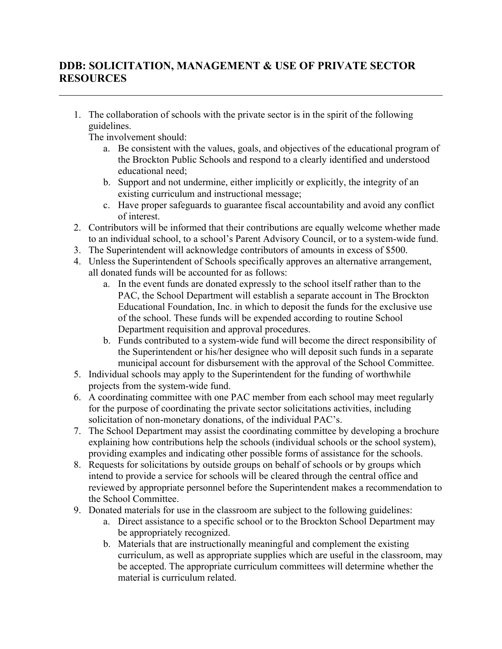## **DDB: SOLICITATION, MANAGEMENT & USE OF PRIVATE SECTOR RESOURCES**

1. The collaboration of schools with the private sector is in the spirit of the following guidelines.

The involvement should:

- a. Be consistent with the values, goals, and objectives of the educational program of the Brockton Public Schools and respond to a clearly identified and understood educational need;
- b. Support and not undermine, either implicitly or explicitly, the integrity of an existing curriculum and instructional message;
- c. Have proper safeguards to guarantee fiscal accountability and avoid any conflict of interest.
- 2. Contributors will be informed that their contributions are equally welcome whether made to an individual school, to a school's Parent Advisory Council, or to a system-wide fund.
- 3. The Superintendent will acknowledge contributors of amounts in excess of \$500.
- 4. Unless the Superintendent of Schools specifically approves an alternative arrangement, all donated funds will be accounted for as follows:
	- a. In the event funds are donated expressly to the school itself rather than to the PAC, the School Department will establish a separate account in The Brockton Educational Foundation, Inc. in which to deposit the funds for the exclusive use of the school. These funds will be expended according to routine School Department requisition and approval procedures.
	- b. Funds contributed to a system-wide fund will become the direct responsibility of the Superintendent or his/her designee who will deposit such funds in a separate municipal account for disbursement with the approval of the School Committee.
- 5. Individual schools may apply to the Superintendent for the funding of worthwhile projects from the system-wide fund.
- 6. A coordinating committee with one PAC member from each school may meet regularly for the purpose of coordinating the private sector solicitations activities, including solicitation of non-monetary donations, of the individual PAC's.
- 7. The School Department may assist the coordinating committee by developing a brochure explaining how contributions help the schools (individual schools or the school system), providing examples and indicating other possible forms of assistance for the schools.
- 8. Requests for solicitations by outside groups on behalf of schools or by groups which intend to provide a service for schools will be cleared through the central office and reviewed by appropriate personnel before the Superintendent makes a recommendation to the School Committee.
- 9. Donated materials for use in the classroom are subject to the following guidelines:
	- a. Direct assistance to a specific school or to the Brockton School Department may be appropriately recognized.
	- b. Materials that are instructionally meaningful and complement the existing curriculum, as well as appropriate supplies which are useful in the classroom, may be accepted. The appropriate curriculum committees will determine whether the material is curriculum related.